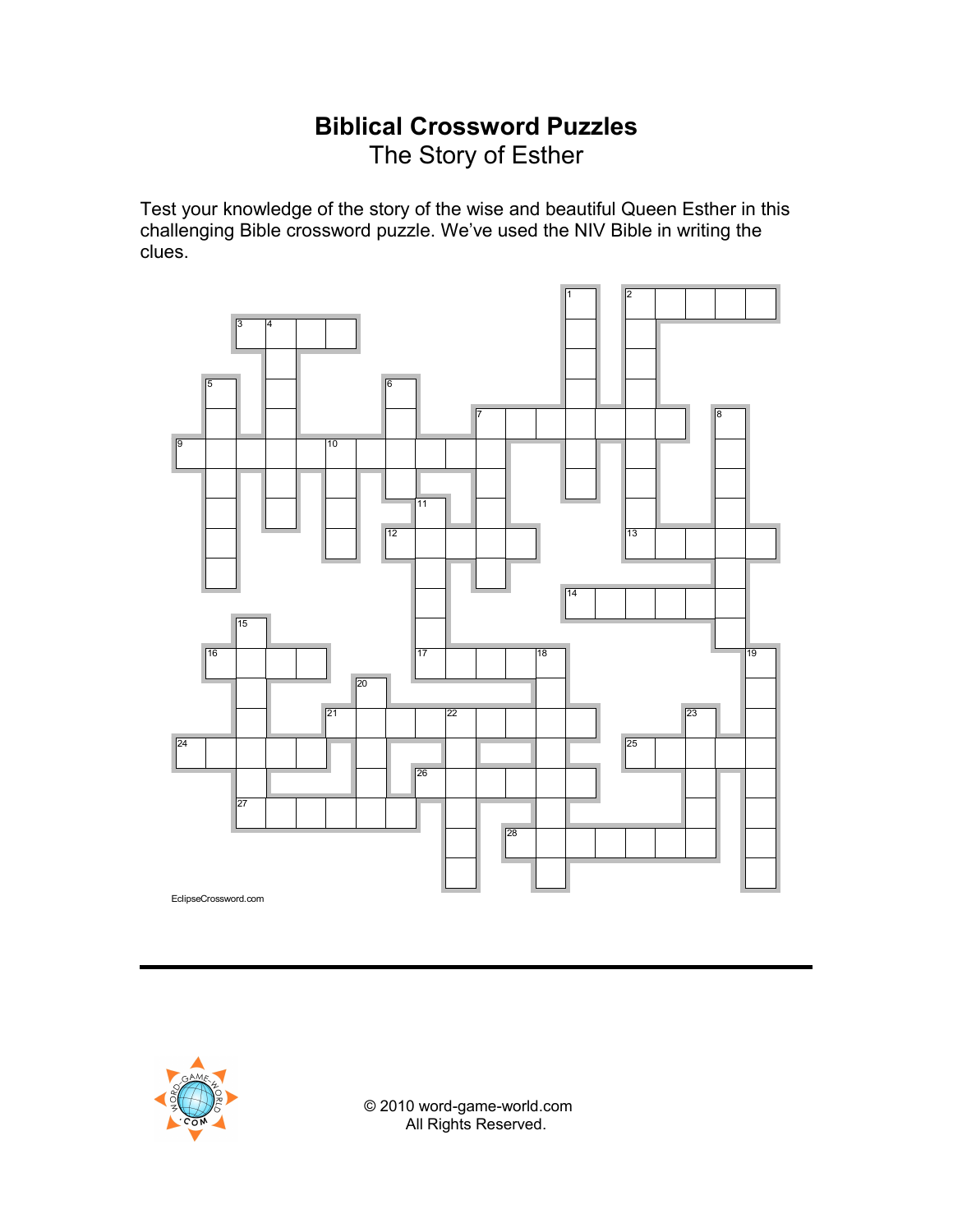## **Biblical Crossword Puzzles** The Story of Esther

Test your knowledge of the story of the wise and beautiful Queen Esther in this challenging Bible crossword puzzle. We've used the NIV Bible in writing the clues.





© 2010 word-game-world.com All Rights Reserved.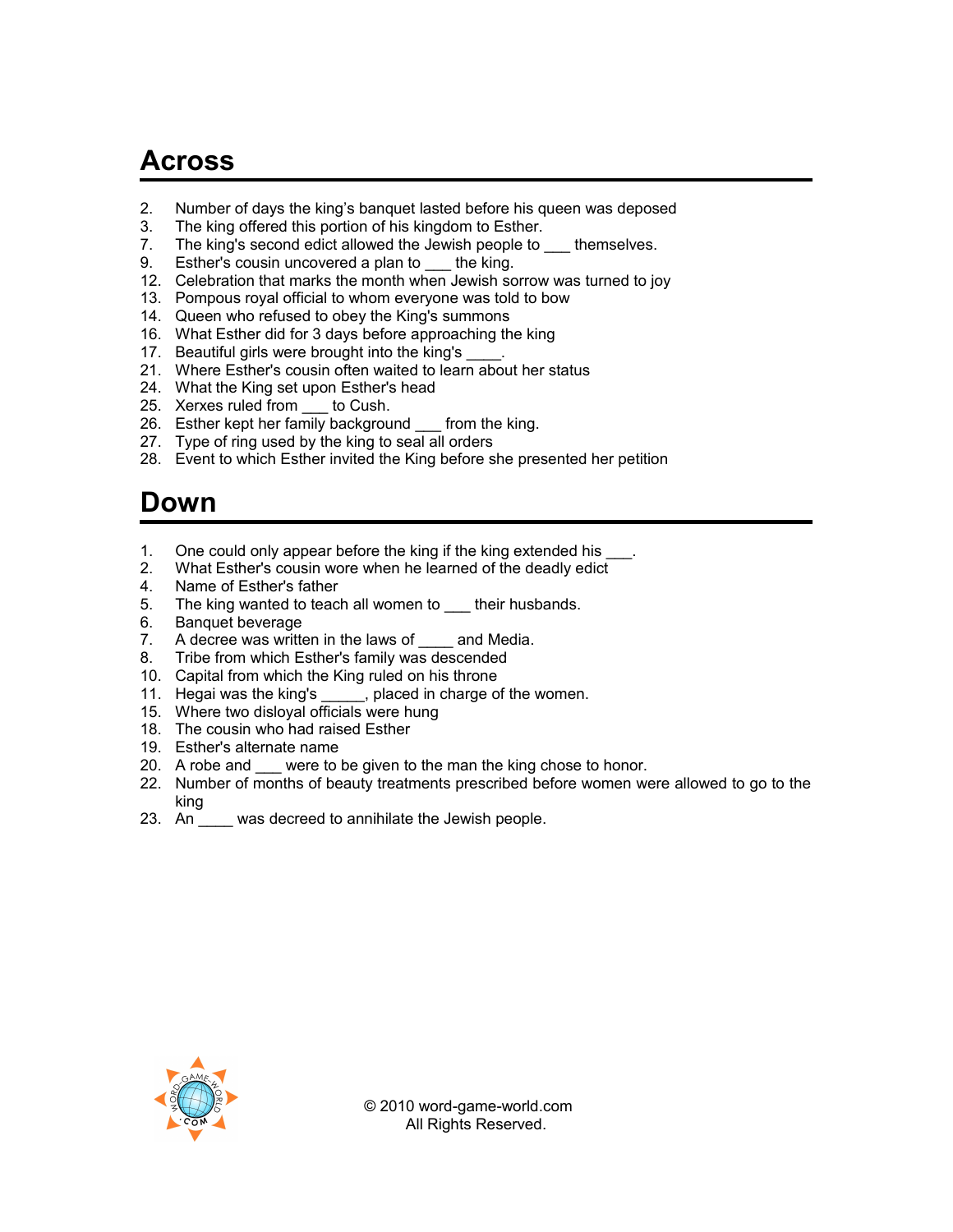## **Across**

- 2. Number of days the king's banquet lasted before his queen was deposed
- 3. The king offered this portion of his kingdom to Esther.
- 7. The king's second edict allowed the Jewish people to themselves.
- 9. Esther's cousin uncovered a plan to \_\_\_ the king.
- 12. Celebration that marks the month when Jewish sorrow was turned to joy
- 13. Pompous royal official to whom everyone was told to bow
- 14. Queen who refused to obey the King's summons
- 16. What Esther did for 3 days before approaching the king
- 17. Beautiful girls were brought into the king's
- 21. Where Esther's cousin often waited to learn about her status
- 24. What the King set upon Esther's head
- 25. Xerxes ruled from to Cush.
- 26. Esther kept her family background \_\_\_ from the king.
- 27. Type of ring used by the king to seal all orders
- 28. Event to which Esther invited the King before she presented her petition

## **Down**

- 1. One could only appear before the king if the king extended his \_
- 2. What Esther's cousin wore when he learned of the deadly edict
- 4. Name of Esther's father
- 5. The king wanted to teach all women to \_\_\_ their husbands.
- 6. Banquet beverage
- 7. A decree was written in the laws of and Media.
- 8. Tribe from which Esther's family was descended
- 10. Capital from which the King ruled on his throne
- 11. Hegai was the king's \_\_\_\_\_, placed in charge of the women.
- 15. Where two disloyal officials were hung
- 18. The cousin who had raised Esther
- 19. Esther's alternate name
- 20. A robe and \_\_\_ were to be given to the man the king chose to honor.
- 22. Number of months of beauty treatments prescribed before women were allowed to go to the king
- 23. An \_\_\_\_ was decreed to annihilate the Jewish people.